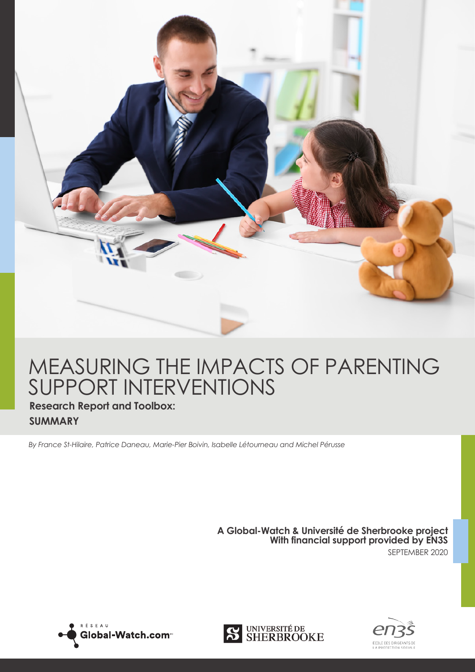

## MEASURING THE IMPACTS OF PARENTING SUPPORT INTERVENTIONS

## **Research Report and Toolbox: SUMMARY**

*By France St-Hilaire, Patrice Daneau, Marie-Pier Boivin, Isabelle Létourneau and Michel Pérusse*

**A Global-Watch & Université de Sherbrooke project With financial support provided by EN3S** SEPTEMBER 2020





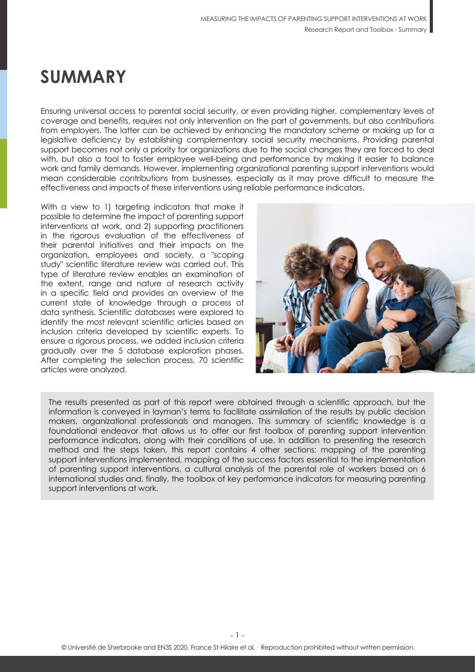## **SUMMARY**

Ensuring universal access to parental social security, or even providing higher, complementary levels of coverage and benefits, requires not only intervention on the part of governments, but also contributions from employers. The latter can be achieved by enhancing the mandatory scheme or making up for a legislative deficiency by establishing complementary social security mechanisms. Providing parental support becomes not only a priority for organizations due to the social changes they are forced to deal with, but also a tool to foster employee well-being and performance by making it easier to balance work and family demands. However, implementing organizational parenting support interventions would mean considerable contributions from businesses, especially as it may prove difficult to measure the effectiveness and impacts of these interventions using reliable performance indicators.

With a view to 1) targeting indicators that make it possible to determine the impact of parenting support interventions at work, and 2) supporting practitioners in the rigorous evaluation of the effectiveness of their parental initiatives and their impacts on the organization, employees and society, a "scoping study" scientific literature review was carried out. This type of literature review enables an examination of the extent, range and nature of research activity in a specific field and provides an overview of the current state of knowledge through a process of data synthesis. Scientific databases were explored to identify the most relevant scientific articles based on inclusion criteria developed by scientific experts. To ensure a rigorous process, we added inclusion criteria gradually over the 5 database exploration phases. After completing the selection process, 70 scientific articles were analyzed.



The results presented as part of this report were obtained through a scientific approach, but the information is conveyed in layman's terms to facilitate assimilation of the results by public decision makers, organizational professionals and managers. This summary of scientific knowledge is a foundational endeavor that allows us to offer our first toolbox of parenting support intervention performance indicators, along with their conditions of use. In addition to presenting the research method and the steps taken, this report contains 4 other sections: mapping of the parenting support interventions implemented, mapping of the success factors essential to the implementation of parenting support interventions, a cultural analysis of the parental role of workers based on 6 international studies and, finally, the toolbox of key performance indicators for measuring parenting support interventions at work.